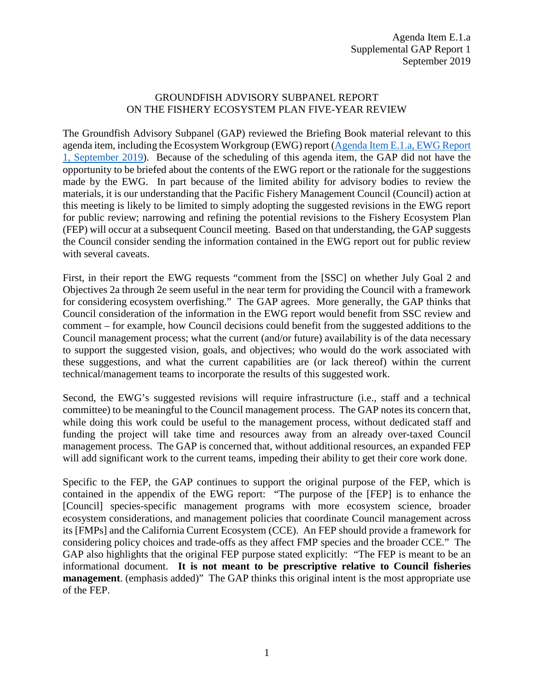## GROUNDFISH ADVISORY SUBPANEL REPORT ON THE FISHERY ECOSYSTEM PLAN FIVE-YEAR REVIEW

The Groundfish Advisory Subpanel (GAP) reviewed the Briefing Book material relevant to this agenda item, including the Ecosystem Workgroup (EWG) report (Agenda Item [E.1.a, EWG Report](https://www.pcouncil.org/wp-content/uploads/2019/08/E1a_EWG_Rpt1_FEP_Update_SEP2019BB.pdf)  [1, September 2019\)](https://www.pcouncil.org/wp-content/uploads/2019/08/E1a_EWG_Rpt1_FEP_Update_SEP2019BB.pdf). Because of the scheduling of this agenda item, the GAP did not have the opportunity to be briefed about the contents of the EWG report or the rationale for the suggestions made by the EWG. In part because of the limited ability for advisory bodies to review the materials, it is our understanding that the Pacific Fishery Management Council (Council) action at this meeting is likely to be limited to simply adopting the suggested revisions in the EWG report for public review; narrowing and refining the potential revisions to the Fishery Ecosystem Plan (FEP) will occur at a subsequent Council meeting. Based on that understanding, the GAP suggests the Council consider sending the information contained in the EWG report out for public review with several caveats.

First, in their report the EWG requests "comment from the [SSC] on whether July Goal 2 and Objectives 2a through 2e seem useful in the near term for providing the Council with a framework for considering ecosystem overfishing." The GAP agrees. More generally, the GAP thinks that Council consideration of the information in the EWG report would benefit from SSC review and comment – for example, how Council decisions could benefit from the suggested additions to the Council management process; what the current (and/or future) availability is of the data necessary to support the suggested vision, goals, and objectives; who would do the work associated with these suggestions, and what the current capabilities are (or lack thereof) within the current technical/management teams to incorporate the results of this suggested work.

Second, the EWG's suggested revisions will require infrastructure (i.e., staff and a technical committee) to be meaningful to the Council management process. The GAP notes its concern that, while doing this work could be useful to the management process, without dedicated staff and funding the project will take time and resources away from an already over-taxed Council management process. The GAP is concerned that, without additional resources, an expanded FEP will add significant work to the current teams, impeding their ability to get their core work done.

Specific to the FEP, the GAP continues to support the original purpose of the FEP, which is contained in the appendix of the EWG report: "The purpose of the [FEP] is to enhance the [Council] species-specific management programs with more ecosystem science, broader ecosystem considerations, and management policies that coordinate Council management across its [FMPs] and the California Current Ecosystem (CCE). An FEP should provide a framework for considering policy choices and trade-offs as they affect FMP species and the broader CCE." The GAP also highlights that the original FEP purpose stated explicitly: "The FEP is meant to be an informational document. **It is not meant to be prescriptive relative to Council fisheries management**. (emphasis added)" The GAP thinks this original intent is the most appropriate use of the FEP.